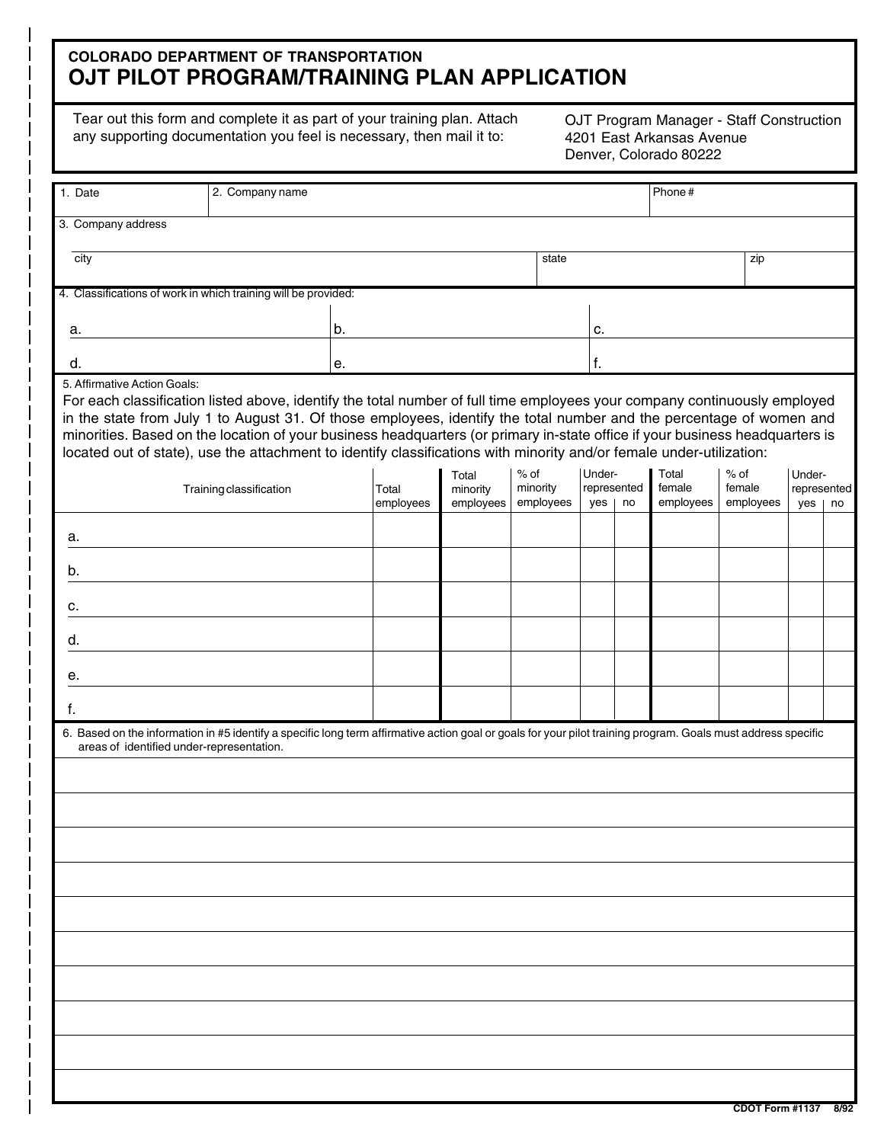## **COLORADO DEPARTMENT OF TRANSPORTATION OJT PILOT PROGRAM/TRAINING PLAN APPLICATION**

Tear out this form and complete it as part of your training plan. Attach any supporting documentation you feel is necessary, then mail it to:

OJT Program Manager - Staff Construction 4201 East Arkansas Avenue Denver, Colorado 80222

| 1. Date                                                                                                                                                                                                                                                                                                                                                                                                                                                                                                                                   | 2. Company name |           |                   |                               |                              |    | Phone#                       |                               |                       |  |
|-------------------------------------------------------------------------------------------------------------------------------------------------------------------------------------------------------------------------------------------------------------------------------------------------------------------------------------------------------------------------------------------------------------------------------------------------------------------------------------------------------------------------------------------|-----------------|-----------|-------------------|-------------------------------|------------------------------|----|------------------------------|-------------------------------|-----------------------|--|
| 3. Company address                                                                                                                                                                                                                                                                                                                                                                                                                                                                                                                        |                 |           |                   |                               |                              |    |                              |                               |                       |  |
| city                                                                                                                                                                                                                                                                                                                                                                                                                                                                                                                                      |                 |           |                   | state                         |                              |    |                              | zip                           |                       |  |
| 4. Classifications of work in which training will be provided:                                                                                                                                                                                                                                                                                                                                                                                                                                                                            |                 |           |                   |                               |                              |    |                              |                               |                       |  |
|                                                                                                                                                                                                                                                                                                                                                                                                                                                                                                                                           |                 |           |                   |                               |                              |    |                              |                               |                       |  |
| а.                                                                                                                                                                                                                                                                                                                                                                                                                                                                                                                                        | b.              |           |                   | c.                            |                              |    |                              |                               |                       |  |
| d.                                                                                                                                                                                                                                                                                                                                                                                                                                                                                                                                        | е.              | f.        |                   |                               |                              |    |                              |                               |                       |  |
| 5. Affirmative Action Goals:<br>For each classification listed above, identify the total number of full time employees your company continuously employed<br>in the state from July 1 to August 31. Of those employees, identify the total number and the percentage of women and<br>minorities. Based on the location of your business headquarters (or primary in-state office if your business headquarters is<br>located out of state), use the attachment to identify classifications with minority and/or female under-utilization: |                 |           |                   |                               |                              |    |                              |                               |                       |  |
| Training classification                                                                                                                                                                                                                                                                                                                                                                                                                                                                                                                   |                 | Total     | Total<br>minority | % of<br>minority<br>employees | Under-<br>represented<br>yes | no | Total<br>female<br>employees | $%$ of<br>female<br>employees | Under-<br>represented |  |
|                                                                                                                                                                                                                                                                                                                                                                                                                                                                                                                                           |                 | employees | employees         |                               |                              |    |                              |                               | $yes \mid no$         |  |
| a.                                                                                                                                                                                                                                                                                                                                                                                                                                                                                                                                        |                 |           |                   |                               |                              |    |                              |                               |                       |  |
| b.                                                                                                                                                                                                                                                                                                                                                                                                                                                                                                                                        |                 |           |                   |                               |                              |    |                              |                               |                       |  |
| c.                                                                                                                                                                                                                                                                                                                                                                                                                                                                                                                                        |                 |           |                   |                               |                              |    |                              |                               |                       |  |
| d.                                                                                                                                                                                                                                                                                                                                                                                                                                                                                                                                        |                 |           |                   |                               |                              |    |                              |                               |                       |  |
| е.                                                                                                                                                                                                                                                                                                                                                                                                                                                                                                                                        |                 |           |                   |                               |                              |    |                              |                               |                       |  |
| f.                                                                                                                                                                                                                                                                                                                                                                                                                                                                                                                                        |                 |           |                   |                               |                              |    |                              |                               |                       |  |
| 6. Based on the information in #5 identify a specific long term affirmative action goal or goals for your pilot training program. Goals must address specific<br>areas of identified under-representation.                                                                                                                                                                                                                                                                                                                                |                 |           |                   |                               |                              |    |                              |                               |                       |  |
|                                                                                                                                                                                                                                                                                                                                                                                                                                                                                                                                           |                 |           |                   |                               |                              |    |                              |                               |                       |  |
|                                                                                                                                                                                                                                                                                                                                                                                                                                                                                                                                           |                 |           |                   |                               |                              |    |                              |                               |                       |  |
|                                                                                                                                                                                                                                                                                                                                                                                                                                                                                                                                           |                 |           |                   |                               |                              |    |                              |                               |                       |  |
|                                                                                                                                                                                                                                                                                                                                                                                                                                                                                                                                           |                 |           |                   |                               |                              |    |                              |                               |                       |  |
|                                                                                                                                                                                                                                                                                                                                                                                                                                                                                                                                           |                 |           |                   |                               |                              |    |                              |                               |                       |  |
|                                                                                                                                                                                                                                                                                                                                                                                                                                                                                                                                           |                 |           |                   |                               |                              |    |                              |                               |                       |  |
|                                                                                                                                                                                                                                                                                                                                                                                                                                                                                                                                           |                 |           |                   |                               |                              |    |                              |                               |                       |  |
|                                                                                                                                                                                                                                                                                                                                                                                                                                                                                                                                           |                 |           |                   |                               |                              |    |                              |                               |                       |  |
|                                                                                                                                                                                                                                                                                                                                                                                                                                                                                                                                           |                 |           |                   |                               |                              |    |                              |                               |                       |  |
|                                                                                                                                                                                                                                                                                                                                                                                                                                                                                                                                           |                 |           |                   |                               |                              |    |                              |                               |                       |  |
|                                                                                                                                                                                                                                                                                                                                                                                                                                                                                                                                           |                 |           |                   |                               |                              |    |                              |                               |                       |  |